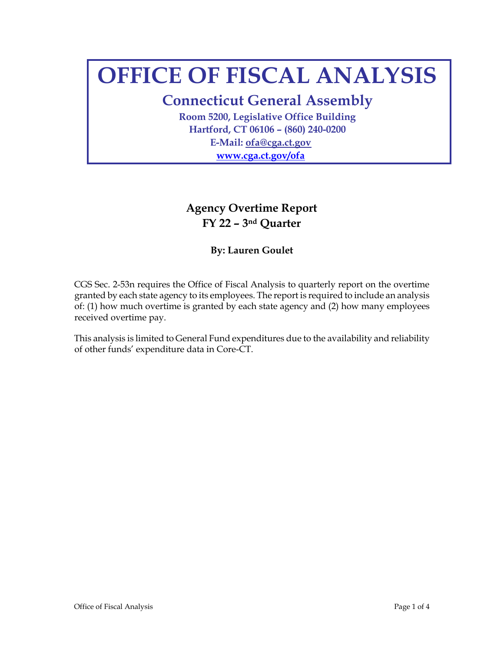# **OFFICE OF FISCAL ANALYSIS**

**Connecticut General Assembly** 

**Room 5200, Legislative Office Building Hartford, CT 06106 – (860) 240-0200 E-Mail: ofa@cga.ct.gov [www.cga.ct.gov/ofa](http://www.cga.ct.gov/ofa)**

## **Agency Overtime Report FY 22 – 3nd Quarter**

#### **By: Lauren Goulet**

CGS Sec. 2-53n requires the Office of Fiscal Analysis to quarterly report on the overtime granted by each state agency to its employees. The report is required to include an analysis of: (1) how much overtime is granted by each state agency and (2) how many employees received overtime pay.

This analysis is limited to General Fund expenditures due to the availability and reliability of other funds' expenditure data in Core-CT.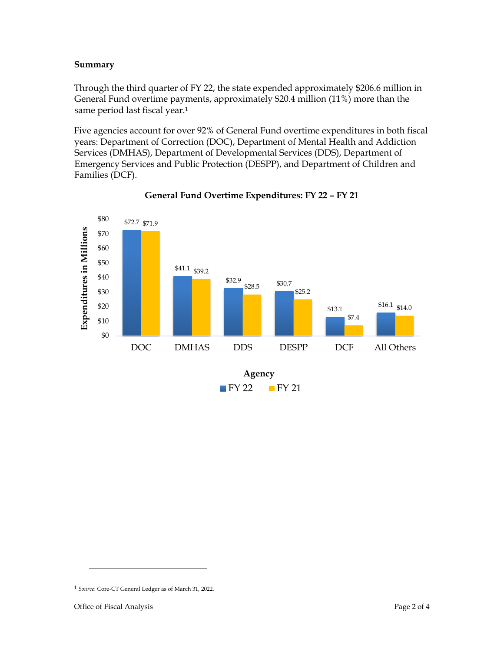#### **Summary**

Through the third quarter of FY 22, the state expended approximately \$206.6 million in General Fund overtime payments, approximately \$20.4 million (11%) more than the same period last fiscal year.<sup>1</sup>

Five agencies account for over 92% of General Fund overtime expenditures in both fiscal years: Department of Correction (DOC), Department of Mental Health and Addiction Services (DMHAS), Department of Developmental Services (DDS), Department of Emergency Services and Public Protection (DESPP), and Department of Children and Families (DCF).



#### **General Fund Overtime Expenditures: FY 22 – FY 21**

<sup>1</sup> *Source*: Core-CT General Ledger as of March 31, 2022.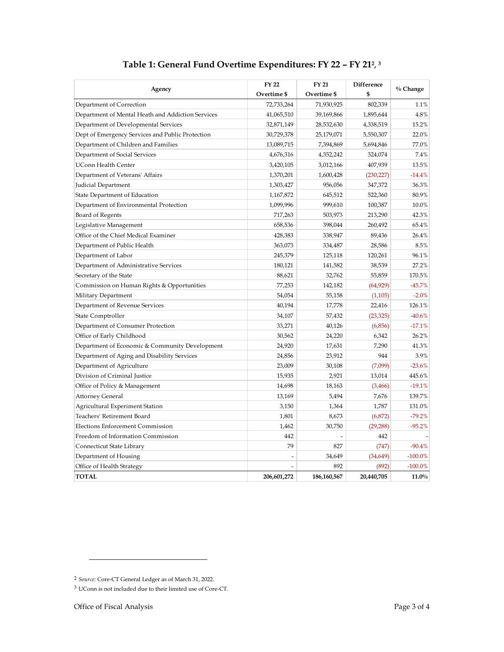| Agency                                            | <b>FY22</b> | <b>FY 21</b> | Difference |            |  |
|---------------------------------------------------|-------------|--------------|------------|------------|--|
|                                                   | Overtime \$ | Overtime \$  | \$         | $%$ Change |  |
| Department of Correction                          | 72,733,264  | 71,930,925   | 802,339    | 1.1%       |  |
| Department of Mental Heath and Addiction Services | 41,065,510  | 39,169,866   | 1,895,644  | 4.8%       |  |
| Department of Developmental Services              | 32,871,149  | 28,532,630   | 4,338,519  | 15.2%      |  |
| Dept of Emergency Services and Public Protection  | 30,729,378  | 25,179,071   | 5,550,307  | 22.0%      |  |
| Department of Children and Families               | 13,089,715  | 7,394,869    | 5,694,846  | 77.0%      |  |
| Department of Social Services                     | 4,676,316   | 4,352,242    | 324,074    | 7.4%       |  |
| <b>UConn Health Center</b>                        | 3,420,105   | 3,012,166    | 407,939    | 13.5%      |  |
| Department of Veterans' Affairs                   | 1,370,201   | 1,600,428    | (230, 227) | $-14.4%$   |  |
| Judicial Department                               | 1,303,427   | 956,056      | 347,372    | 36.3%      |  |
| State Department of Education                     | 1,167,872   | 645,512      | 522,360    | 80.9%      |  |
| Department of Environmental Protection            | 1,099,996   | 999,610      | 100,387    | 10.0%      |  |
| Board of Regents                                  | 717,263     | 503,973      | 213,290    | 42.3%      |  |
| Legislative Management                            | 658,536     | 398,044      | 260,492    | 65.4%      |  |
| Office of the Chief Medical Examiner              | 428,383     | 338,947      | 89,436     | 26.4%      |  |
| Department of Public Health                       | 363,073     | 334,487      | 28,586     | 8.5%       |  |
| Department of Labor                               | 245,379     | 125,118      | 120,261    | 96.1%      |  |
| Department of Administrative Services             | 180,121     | 141,582      | 38,539     | 27.2%      |  |
| Secretary of the State                            | 88,621      | 32,762       | 55,859     | 170.5%     |  |
| Commission on Human Rights & Opportunities        | 77,253      | 142,182      | (64, 929)  | $-45.7%$   |  |
| Military Department                               | 54,054      | 55,158       | (1,105)    | $-2.0%$    |  |
| Department of Revenue Services                    | 40,194      | 17,778       | 22,416     | 126.1%     |  |
| State Comptroller                                 | 34,107      | 57,432       | (23, 325)  | $-40.6\%$  |  |
| Department of Consumer Protection                 | 33,271      | 40,126       | (6,856)    | $-17.1%$   |  |
| Office of Early Childhood                         | 30,562      | 24,220       | 6,342      | 26.2%      |  |
| Department of Economic & Community Development    | 24,920      | 17,631       | 7,290      | 41.3%      |  |
| Department of Aging and Disability Services       | 24,856      | 23,912       | 944        | 3.9%       |  |
| Department of Agriculture                         | 23,009      | 30,108       | (7,099)    | $-23.6%$   |  |
| Division of Criminal Justice                      | 15,935      | 2,921        | 13,014     | 445.6%     |  |
| Office of Policy & Management                     | 14,698      | 18,163       | (3,466)    | $-19.1%$   |  |
| <b>Attorney General</b>                           | 13,169      | 5,494        | 7,676      | 139.7%     |  |
| Agricultural Experiment Station                   | 3,150       | 1,364        | 1,787      | 131.0%     |  |
| Teachers' Retirement Board                        | 1,801       | 8,673        | (6,872)    | $-79.2%$   |  |
| <b>Elections Enforcement Commission</b>           | 1,462       | 30,750       | (29, 288)  | $-95.2%$   |  |
| Freedom of Information Commission                 | 442         |              | 442        |            |  |
| Connecticut State Library                         | 79          | 827          | (747)      | $-90.4%$   |  |
| Department of Housing                             |             | 34,649       | (34, 649)  | $-100.0\%$ |  |
| Office of Health Strategy                         |             | 892          | (892)      | $-100.0\%$ |  |
| <b>TOTAL</b>                                      | 206,601,272 | 186,160,567  | 20,440,705 | $11.0\%$   |  |

#### **Table 1: General Fund Overtime Expenditures: FY 22 – FY 21<sup>2</sup> , 3**

<sup>2</sup> *Source*: Core-CT General Ledger as of March 31, 2022.

<sup>3</sup> UConn is not included due to their limited use of Core-CT.